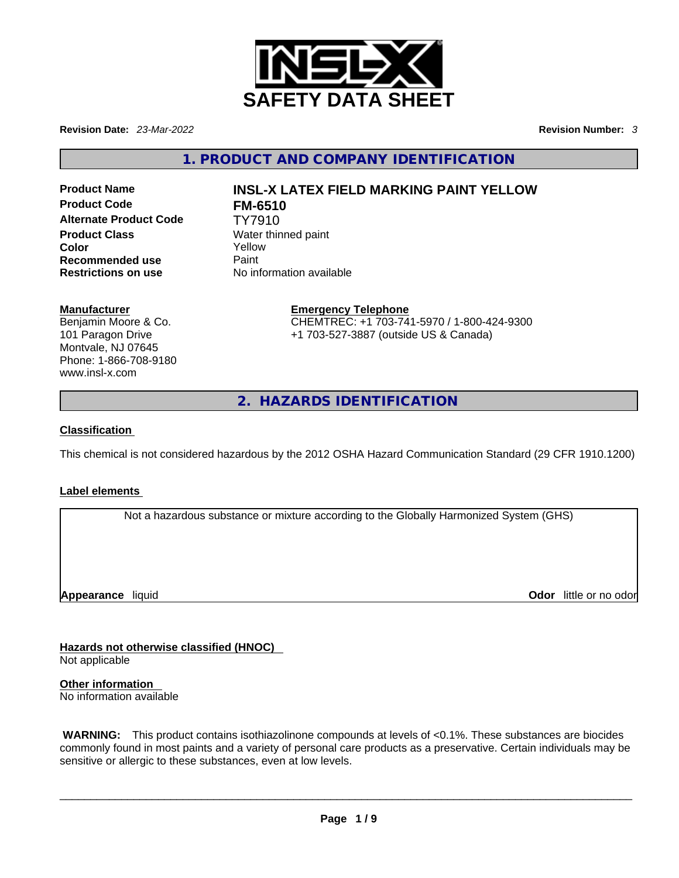

**Revision Date:** *23-Mar-2022* **Revision Number:** *3*

**1. PRODUCT AND COMPANY IDENTIFICATION** 

**Product Code FM-6510 Alternate Product Code** TY7910 **Product Class Water thinned paint Color** Yellow **Recommended use Paint Restrictions on use** No information available

# **Product Name INSL-X LATEX FIELD MARKING PAINT YELLOW**

### **Manufacturer**

Benjamin Moore & Co. 101 Paragon Drive Montvale, NJ 07645 Phone: 1-866-708-9180 www.insl-x.com

**Emergency Telephone** CHEMTREC: +1 703-741-5970 / 1-800-424-9300 +1 703-527-3887 (outside US & Canada)

**2. HAZARDS IDENTIFICATION** 

### **Classification**

This chemical is not considered hazardous by the 2012 OSHA Hazard Communication Standard (29 CFR 1910.1200)

### **Label elements**

Not a hazardous substance or mixture according to the Globally Harmonized System (GHS)

**Appearance** liquid

**Odor** little or no odor

**Hazards not otherwise classified (HNOC)**  Not applicable

**Other information**  No information available

 **WARNING:** This product contains isothiazolinone compounds at levels of <0.1%. These substances are biocides commonly found in most paints and a variety of personal care products as a preservative. Certain individuals may be sensitive or allergic to these substances, even at low levels.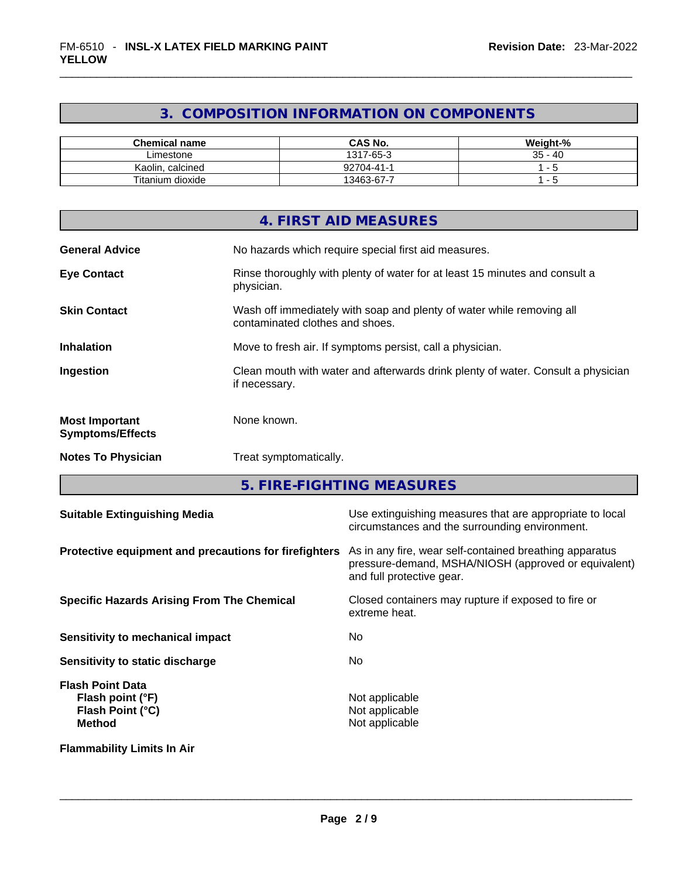## **3. COMPOSITION INFORMATION ON COMPONENTS**

| <b>Chemical name</b> | <b>CAS No.</b> | Weight-%  |
|----------------------|----------------|-----------|
| Limestone            | 1317-65-3      | $35 - 40$ |
| Kaolin, calcined     | 92704-41-1     |           |
| Titanium dioxide     | 13463-67-7     |           |

|                                                  | 4. FIRST AID MEASURES                                                                                    |
|--------------------------------------------------|----------------------------------------------------------------------------------------------------------|
| <b>General Advice</b>                            | No hazards which require special first aid measures.                                                     |
| <b>Eye Contact</b>                               | Rinse thoroughly with plenty of water for at least 15 minutes and consult a<br>physician.                |
| <b>Skin Contact</b>                              | Wash off immediately with soap and plenty of water while removing all<br>contaminated clothes and shoes. |
| <b>Inhalation</b>                                | Move to fresh air. If symptoms persist, call a physician.                                                |
| Ingestion                                        | Clean mouth with water and afterwards drink plenty of water. Consult a physician<br>if necessary.        |
| <b>Most Important</b><br><b>Symptoms/Effects</b> | None known.                                                                                              |
| <b>Notes To Physician</b>                        | Treat symptomatically.                                                                                   |
|                                                  |                                                                                                          |

**5. FIRE-FIGHTING MEASURES** 

| <b>Suitable Extinguishing Media</b>                                              | Use extinguishing measures that are appropriate to local<br>circumstances and the surrounding environment.                                   |
|----------------------------------------------------------------------------------|----------------------------------------------------------------------------------------------------------------------------------------------|
| Protective equipment and precautions for firefighters                            | As in any fire, wear self-contained breathing apparatus<br>pressure-demand, MSHA/NIOSH (approved or equivalent)<br>and full protective gear. |
| <b>Specific Hazards Arising From The Chemical</b>                                | Closed containers may rupture if exposed to fire or<br>extreme heat.                                                                         |
| Sensitivity to mechanical impact                                                 | No.                                                                                                                                          |
| Sensitivity to static discharge                                                  | No.                                                                                                                                          |
| <b>Flash Point Data</b><br>Flash point (°F)<br>Flash Point (°C)<br><b>Method</b> | Not applicable<br>Not applicable<br>Not applicable                                                                                           |
| <b>Flammability Limits In Air</b>                                                |                                                                                                                                              |
|                                                                                  |                                                                                                                                              |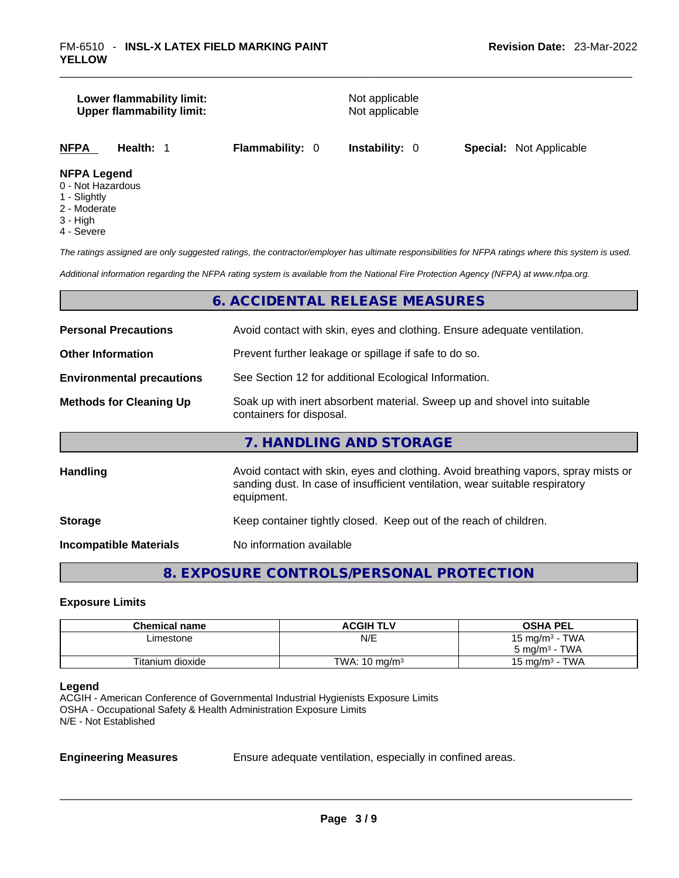# **Lower flammability limit:** Not applicable **Upper flammability limit:** Not applicable

| <b>NFPA</b> | Health: 1 | <b>Flammability: 0</b> | <b>Instability: 0</b> | <b>Special: Not Applicable</b> |
|-------------|-----------|------------------------|-----------------------|--------------------------------|
|             |           |                        |                       |                                |

### **NFPA Legend**

- 0 Not Hazardous
- 1 Slightly
- 2 Moderate
- 3 High
- 4 Severe

*The ratings assigned are only suggested ratings, the contractor/employer has ultimate responsibilities for NFPA ratings where this system is used.* 

*Additional information regarding the NFPA rating system is available from the National Fire Protection Agency (NFPA) at www.nfpa.org.* 

### **6. ACCIDENTAL RELEASE MEASURES**

| <b>Personal Precautions</b>      | Avoid contact with skin, eyes and clothing. Ensure adequate ventilation.                                                                                                         |
|----------------------------------|----------------------------------------------------------------------------------------------------------------------------------------------------------------------------------|
| <b>Other Information</b>         | Prevent further leakage or spillage if safe to do so.                                                                                                                            |
| <b>Environmental precautions</b> | See Section 12 for additional Ecological Information.                                                                                                                            |
| <b>Methods for Cleaning Up</b>   | Soak up with inert absorbent material. Sweep up and shovel into suitable<br>containers for disposal.                                                                             |
|                                  | 7. HANDLING AND STORAGE                                                                                                                                                          |
| Handling                         | Avoid contact with skin, eyes and clothing. Avoid breathing vapors, spray mists or<br>sanding dust. In case of insufficient ventilation, wear suitable respiratory<br>equipment. |
| <b>Storage</b>                   | Keep container tightly closed. Keep out of the reach of children.                                                                                                                |
| <b>Incompatible Materials</b>    | No information available                                                                                                                                                         |

### **8. EXPOSURE CONTROLS/PERSONAL PROTECTION**

### **Exposure Limits**

| <b>Chemical name</b> | <b>ACGIH TLV</b>         | <b>OSHA PEL</b>          |
|----------------------|--------------------------|--------------------------|
| Limestone            | N/E                      | 15 mg/m $3$ - TWA        |
|                      |                          | $5 \text{ mg/m}^3$ - TWA |
| Titanium dioxide     | TWA: $10 \text{ ma/m}^3$ | 15 mg/m $3$ - TWA        |

### **Legend**

ACGIH - American Conference of Governmental Industrial Hygienists Exposure Limits OSHA - Occupational Safety & Health Administration Exposure Limits N/E - Not Established

**Engineering Measures** Ensure adequate ventilation, especially in confined areas.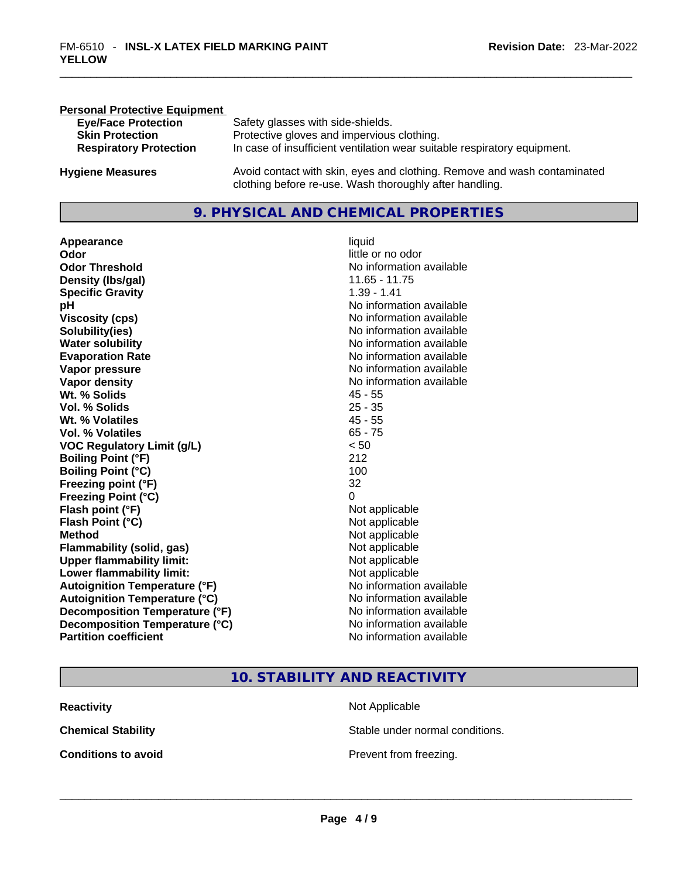| <b>Personal Protective Equipment</b> |                                                                                                                                     |
|--------------------------------------|-------------------------------------------------------------------------------------------------------------------------------------|
| <b>Eye/Face Protection</b>           | Safety glasses with side-shields.                                                                                                   |
| <b>Skin Protection</b>               | Protective gloves and impervious clothing.                                                                                          |
| <b>Respiratory Protection</b>        | In case of insufficient ventilation wear suitable respiratory equipment.                                                            |
|                                      |                                                                                                                                     |
| <b>Hygiene Measures</b>              | Avoid contact with skin, eyes and clothing. Remove and wash contaminated<br>clothing before re-use. Wash thoroughly after handling. |
|                                      |                                                                                                                                     |

### **9. PHYSICAL AND CHEMICAL PROPERTIES**

**Appearance** liquid **Odor Odor Odor Odor Odor** *little or no odor little or no odor* **Odor Threshold**<br> **Density (Ibs/gal)**<br> **Density (Ibs/gal)**<br> **No information available**<br>
11.65 - 11.75 **Density (Ibs/gal)** 11.65 - 11.<br> **Specific Gravity** 1.39 - 1.41 **Specific Gravity pH bH 1 Viscosity (cps) Viscosity (cps) No information available Solubility(ies)**<br> **Water solubility**<br> **Water solubility**<br>
Mo information available **Evaporation Rate No information available No information available Vapor pressure**  No information available **No information** available **Vapor density No information available No** information available **Wt. % Solids** 45 - 55 **Vol. % Solids** 25 - 35 **Wt. % Volatiles Vol. % Volatiles** 65 - 75<br> **VOC Requiatory Limit (q/L)**  $\leq 50$ **VOC** Regulatory Limit (g/L) **Boiling Point (°F)** 212 **Boiling Point (°C)** 100 **Freezing point (°F)** 32 **Freezing Point (°C)** 0 **Flash point (°F)** Not applicable **Flash Point (°C)** Not applicable **Method** Not applicable **Flammability (solid, gas)** Not applicable **Upper flammability limit:**<br> **Lower flammability limit:**<br>
Not applicable<br>
Not applicable **Lower flammability limit:**<br> **Autoignition Temperature (°F)** Not applicable have not available **Autoignition Temperature (°F)**<br> **Autoignition Temperature (°C)** No information available **Autoignition Temperature (°C) Decomposition Temperature (°F)** No information available **Decomposition Temperature (°C)** No information available **Partition coefficient Community Contract Contract Contract Contract Contract Contract Contract Contract Contract Contract Contract Contract Contract Contract Contract Contract Contract Contract Contract Contract Contr** 

# **No information available**

### **10. STABILITY AND REACTIVITY**

| <b>Reactivity</b>          | Not Applicable                  |
|----------------------------|---------------------------------|
| <b>Chemical Stability</b>  | Stable under normal conditions. |
| <b>Conditions to avoid</b> | Prevent from freezing.          |
|                            |                                 |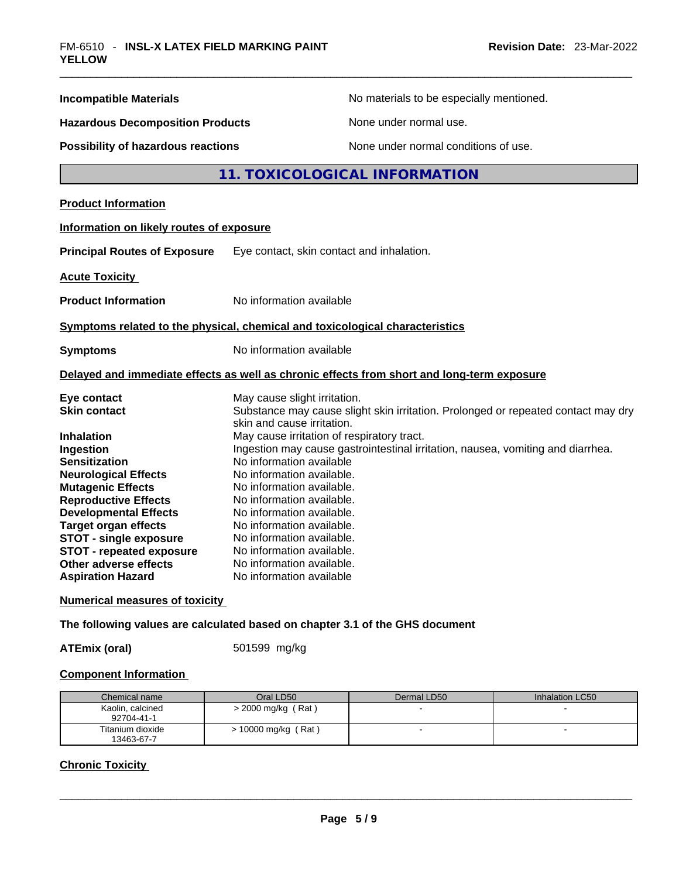| <b>Incompatible Materials</b>                                                                                                                                                                                                                                                          | No materials to be especially mentioned.                                                                                                                                                                                                                                                                                                                                                                                                                                                   |  |  |
|----------------------------------------------------------------------------------------------------------------------------------------------------------------------------------------------------------------------------------------------------------------------------------------|--------------------------------------------------------------------------------------------------------------------------------------------------------------------------------------------------------------------------------------------------------------------------------------------------------------------------------------------------------------------------------------------------------------------------------------------------------------------------------------------|--|--|
| <b>Hazardous Decomposition Products</b>                                                                                                                                                                                                                                                | None under normal use.                                                                                                                                                                                                                                                                                                                                                                                                                                                                     |  |  |
| <b>Possibility of hazardous reactions</b>                                                                                                                                                                                                                                              | None under normal conditions of use.                                                                                                                                                                                                                                                                                                                                                                                                                                                       |  |  |
|                                                                                                                                                                                                                                                                                        | 11. TOXICOLOGICAL INFORMATION                                                                                                                                                                                                                                                                                                                                                                                                                                                              |  |  |
| <b>Product Information</b>                                                                                                                                                                                                                                                             |                                                                                                                                                                                                                                                                                                                                                                                                                                                                                            |  |  |
| Information on likely routes of exposure                                                                                                                                                                                                                                               |                                                                                                                                                                                                                                                                                                                                                                                                                                                                                            |  |  |
| <b>Principal Routes of Exposure</b>                                                                                                                                                                                                                                                    | Eye contact, skin contact and inhalation.                                                                                                                                                                                                                                                                                                                                                                                                                                                  |  |  |
| <b>Acute Toxicity</b>                                                                                                                                                                                                                                                                  |                                                                                                                                                                                                                                                                                                                                                                                                                                                                                            |  |  |
| <b>Product Information</b>                                                                                                                                                                                                                                                             | No information available                                                                                                                                                                                                                                                                                                                                                                                                                                                                   |  |  |
|                                                                                                                                                                                                                                                                                        | Symptoms related to the physical, chemical and toxicological characteristics                                                                                                                                                                                                                                                                                                                                                                                                               |  |  |
| <b>Symptoms</b>                                                                                                                                                                                                                                                                        | No information available                                                                                                                                                                                                                                                                                                                                                                                                                                                                   |  |  |
|                                                                                                                                                                                                                                                                                        | Delayed and immediate effects as well as chronic effects from short and long-term exposure                                                                                                                                                                                                                                                                                                                                                                                                 |  |  |
| Eye contact<br><b>Skin contact</b><br><b>Inhalation</b><br>Ingestion<br><b>Sensitization</b><br><b>Neurological Effects</b><br><b>Mutagenic Effects</b><br><b>Reproductive Effects</b><br><b>Developmental Effects</b><br><b>Target organ effects</b><br><b>STOT - single exposure</b> | May cause slight irritation.<br>Substance may cause slight skin irritation. Prolonged or repeated contact may dry<br>skin and cause irritation.<br>May cause irritation of respiratory tract.<br>Ingestion may cause gastrointestinal irritation, nausea, vomiting and diarrhea.<br>No information available<br>No information available.<br>No information available.<br>No information available.<br>No information available.<br>No information available.<br>No information available. |  |  |
| <b>STOT - repeated exposure</b><br>Other adverse effects<br><b>Aspiration Hazard</b>                                                                                                                                                                                                   | No information available.<br>No information available.<br>No information available                                                                                                                                                                                                                                                                                                                                                                                                         |  |  |
|                                                                                                                                                                                                                                                                                        |                                                                                                                                                                                                                                                                                                                                                                                                                                                                                            |  |  |

### **Numerical measures of toxicity**

**The following values are calculated based on chapter 3.1 of the GHS document**

**ATEmix (oral)** 501599 mg/kg

### **Component Information**

| Chemical name                  | Oral LD50             | Dermal LD50 | Inhalation LC50 |
|--------------------------------|-----------------------|-------------|-----------------|
| Kaolin, calcined<br>92704-41-1 | $>$ 2000 mg/kg (Rat)  |             |                 |
| Titanium dioxide<br>13463-67-7 | $> 10000$ mg/kg (Rat) |             |                 |

### **Chronic Toxicity**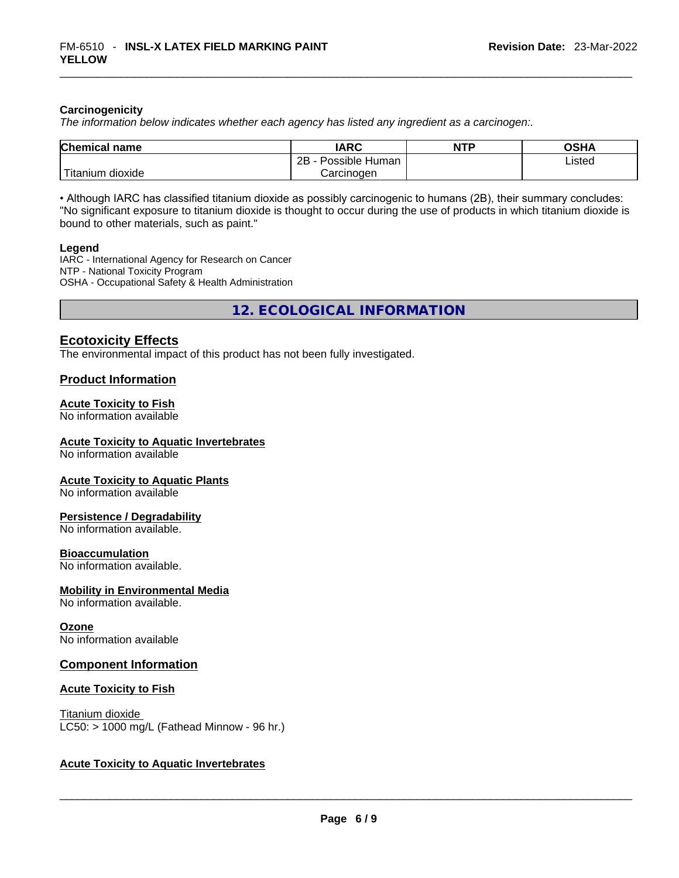### **Carcinogenicity**

*The information below indicates whether each agency has listed any ingredient as a carcinogen:.* 

| <b>Chemical name</b>  | <b>IARC</b>          | <b>NTP</b> | OSHA   |
|-----------------------|----------------------|------------|--------|
|                       | Possible Human<br>2Β |            | Listed |
| Titanium c<br>dioxide | Carcinogen           |            |        |

• Although IARC has classified titanium dioxide as possibly carcinogenic to humans (2B), their summary concludes: "No significant exposure to titanium dioxide is thought to occur during the use of products in which titanium dioxide is bound to other materials, such as paint."

### **Legend**

IARC - International Agency for Research on Cancer NTP - National Toxicity Program OSHA - Occupational Safety & Health Administration

**12. ECOLOGICAL INFORMATION** 

### **Ecotoxicity Effects**

The environmental impact of this product has not been fully investigated.

### **Product Information**

### **Acute Toxicity to Fish**

No information available

### **Acute Toxicity to Aquatic Invertebrates**

No information available

### **Acute Toxicity to Aquatic Plants**

No information available

### **Persistence / Degradability**

No information available.

### **Bioaccumulation**

No information available.

### **Mobility in Environmental Media**

No information available.

### **Ozone**

No information available

### **Component Information**

### **Acute Toxicity to Fish**

### Titanium dioxide

 $LC50:$  > 1000 mg/L (Fathead Minnow - 96 hr.)

### **Acute Toxicity to Aquatic Invertebrates**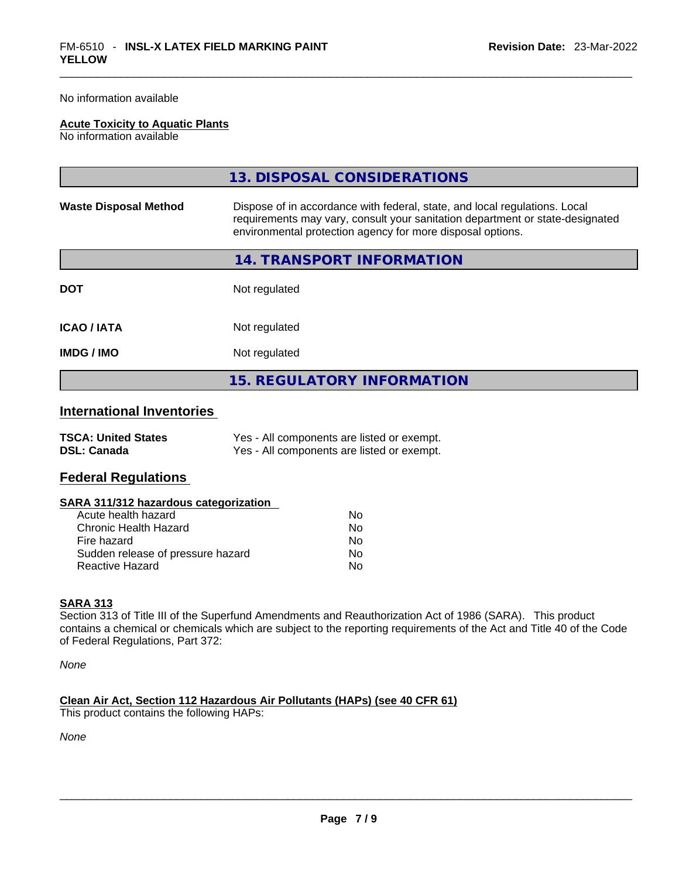No information available

### **Acute Toxicity to Aquatic Plants**

No information available

| <b>Waste Disposal Method</b><br>Dispose of in accordance with federal, state, and local regulations. Local<br>requirements may vary, consult your sanitation department or state-designated<br>environmental protection agency for more disposal options.<br>14. TRANSPORT INFORMATION<br>Not regulated<br><b>DOT</b><br>Not regulated<br><b>ICAO/IATA</b><br><b>IMDG/IMO</b><br>Not regulated | 13. DISPOSAL CONSIDERATIONS |
|------------------------------------------------------------------------------------------------------------------------------------------------------------------------------------------------------------------------------------------------------------------------------------------------------------------------------------------------------------------------------------------------|-----------------------------|
|                                                                                                                                                                                                                                                                                                                                                                                                |                             |
|                                                                                                                                                                                                                                                                                                                                                                                                |                             |
|                                                                                                                                                                                                                                                                                                                                                                                                |                             |
|                                                                                                                                                                                                                                                                                                                                                                                                |                             |
|                                                                                                                                                                                                                                                                                                                                                                                                |                             |
| <b>15. REGULATORY INFORMATION</b>                                                                                                                                                                                                                                                                                                                                                              |                             |

### **International Inventories**

| <b>TSCA: United States</b> | Yes - All components are listed or exempt. |
|----------------------------|--------------------------------------------|
| <b>DSL: Canada</b>         | Yes - All components are listed or exempt. |

### **Federal Regulations**

| SARA 311/312 hazardous categorization |    |  |
|---------------------------------------|----|--|
| Acute health hazard                   | Nο |  |
| Chronic Health Hazard                 | No |  |
| Fire hazard                           | No |  |
| Sudden release of pressure hazard     | No |  |
| Reactive Hazard                       | No |  |
|                                       |    |  |

### **SARA 313**

Section 313 of Title III of the Superfund Amendments and Reauthorization Act of 1986 (SARA). This product contains a chemical or chemicals which are subject to the reporting requirements of the Act and Title 40 of the Code of Federal Regulations, Part 372:

*None*

### **Clean Air Act,Section 112 Hazardous Air Pollutants (HAPs) (see 40 CFR 61)**

This product contains the following HAPs:

*None*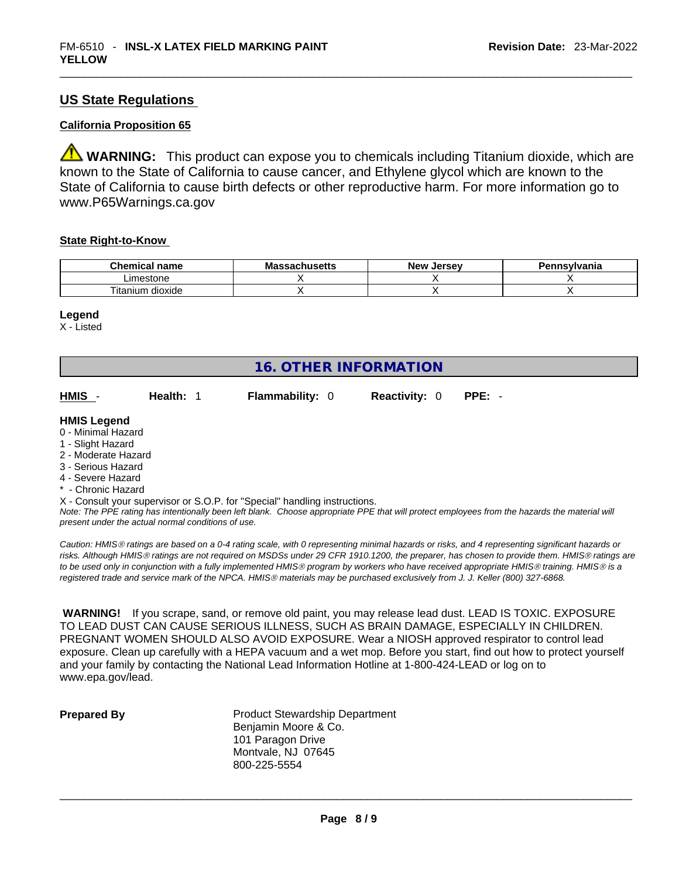### **US State Regulations**

### **California Proposition 65**

**WARNING:** This product can expose you to chemicals including Titanium dioxide, which are known to the State of California to cause cancer, and Ethylene glycol which are known to the State of California to cause birth defects or other reproductive harm. For more information go to www.P65Warnings.ca.gov

### **State Right-to-Know**

| <b>Chemical</b><br>name         | Ma<br>,,,,, | Jersev<br><b>Nev</b> | าทรงIvania |
|---------------------------------|-------------|----------------------|------------|
| imestone                        |             |                      |            |
| $\cdot$ .<br>dioxide<br>itanium |             |                      |            |

### **Legend**

X - Listed

| <b>16. OTHER INFORMATION</b>                                                                                                                          |                                                    |                                                                            |                      |                                                                                                                                               |  |
|-------------------------------------------------------------------------------------------------------------------------------------------------------|----------------------------------------------------|----------------------------------------------------------------------------|----------------------|-----------------------------------------------------------------------------------------------------------------------------------------------|--|
| HMIS -                                                                                                                                                | Health: 1                                          | <b>Flammability: 0</b>                                                     | <b>Reactivity: 0</b> | $PPE: -$                                                                                                                                      |  |
| <b>HMIS Legend</b><br>0 - Minimal Hazard<br>1 - Slight Hazard<br>2 - Moderate Hazard<br>3 - Serious Hazard<br>4 - Severe Hazard<br>* - Chronic Hazard |                                                    |                                                                            |                      |                                                                                                                                               |  |
|                                                                                                                                                       | present under the actual normal conditions of use. | X - Consult your supervisor or S.O.P. for "Special" handling instructions. |                      | Note: The PPE rating has intentionally been left blank. Choose appropriate PPE that will protect employees from the hazards the material will |  |

*Caution: HMISÒ ratings are based on a 0-4 rating scale, with 0 representing minimal hazards or risks, and 4 representing significant hazards or risks. Although HMISÒ ratings are not required on MSDSs under 29 CFR 1910.1200, the preparer, has chosen to provide them. HMISÒ ratings are to be used only in conjunction with a fully implemented HMISÒ program by workers who have received appropriate HMISÒ training. HMISÒ is a registered trade and service mark of the NPCA. HMISÒ materials may be purchased exclusively from J. J. Keller (800) 327-6868.* 

 **WARNING!** If you scrape, sand, or remove old paint, you may release lead dust. LEAD IS TOXIC. EXPOSURE TO LEAD DUST CAN CAUSE SERIOUS ILLNESS, SUCH AS BRAIN DAMAGE, ESPECIALLY IN CHILDREN. PREGNANT WOMEN SHOULD ALSO AVOID EXPOSURE.Wear a NIOSH approved respirator to control lead exposure. Clean up carefully with a HEPA vacuum and a wet mop. Before you start, find out how to protect yourself and your family by contacting the National Lead Information Hotline at 1-800-424-LEAD or log on to www.epa.gov/lead.

**Prepared By Product Stewardship Department** Benjamin Moore & Co. 101 Paragon Drive Montvale, NJ 07645 800-225-5554